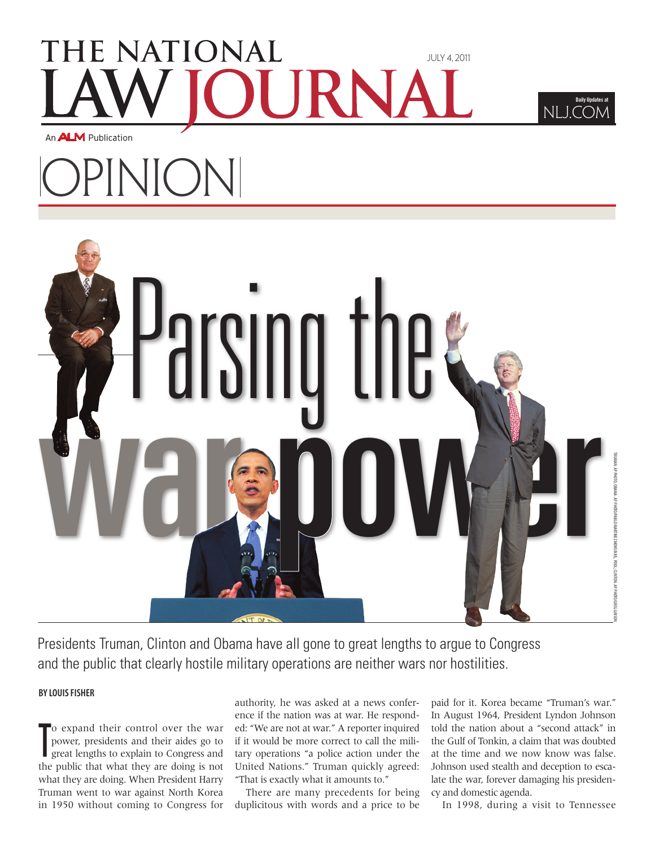# THE NATIONAL July 4, 2011

An **ALM** Publication

# OPINION



Presidents Truman, Clinton and Obama have all gone to great lengths to argue to Congress and the public that clearly hostile military operations are neither wars nor hostilities.

### **By Louis Fisher**

T o expand their control over the war power, presidents and their aides go to great lengths to explain to Congress and the public that what they are doing is not what they are doing. When President Harry Truman went to war against North Korea in 1950 without coming to Congress for

authority, he was asked at a news conference if the nation was at war. He responded: "We are not at war." A reporter inquired if it would be more correct to call the military operations "a police action under the United Nations." Truman quickly agreed: "That is exactly what it amounts to."

There are many precedents for being duplicitous with words and a price to be

paid for it. Korea became "Truman's war." In August 1964, President Lyndon Johnson told the nation about a "second attack" in the Gulf of Tonkin, a claim that was doubted at the time and we now know was false. Johnson used stealth and deception to escalate the war, forever damaging his presidency and domestic agenda.

NLJ.COM

Daily Updates at

In 1998, during a visit to Tennessee